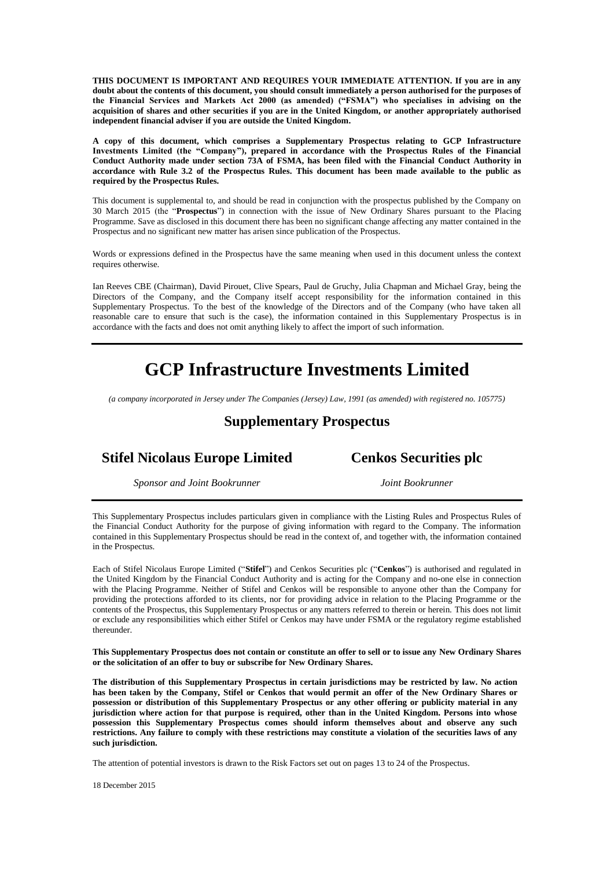**THIS DOCUMENT IS IMPORTANT AND REQUIRES YOUR IMMEDIATE ATTENTION. If you are in any doubt about the contents of this document, you should consult immediately a person authorised for the purposes of the Financial Services and Markets Act 2000 (as amended) ("FSMA") who specialises in advising on the acquisition of shares and other securities if you are in the United Kingdom, or another appropriately authorised independent financial adviser if you are outside the United Kingdom.**

**A copy of this document, which comprises a Supplementary Prospectus relating to GCP Infrastructure Investments Limited (the "Company"), prepared in accordance with the Prospectus Rules of the Financial Conduct Authority made under section 73A of FSMA, has been filed with the Financial Conduct Authority in accordance with Rule 3.2 of the Prospectus Rules. This document has been made available to the public as required by the Prospectus Rules.**

This document is supplemental to, and should be read in conjunction with the prospectus published by the Company on 30 March 2015 (the "**Prospectus**") in connection with the issue of New Ordinary Shares pursuant to the Placing Programme. Save as disclosed in this document there has been no significant change affecting any matter contained in the Prospectus and no significant new matter has arisen since publication of the Prospectus.

Words or expressions defined in the Prospectus have the same meaning when used in this document unless the context requires otherwise.

Ian Reeves CBE (Chairman), David Pirouet, Clive Spears, Paul de Gruchy, Julia Chapman and Michael Gray, being the Directors of the Company, and the Company itself accept responsibility for the information contained in this Supplementary Prospectus. To the best of the knowledge of the Directors and of the Company (who have taken all reasonable care to ensure that such is the case), the information contained in this Supplementary Prospectus is in accordance with the facts and does not omit anything likely to affect the import of such information.

# **GCP Infrastructure Investments Limited**

*(a company incorporated in Jersey under The Companies (Jersey) Law, 1991 (as amended) with registered no. 105775)*

## **Supplementary Prospectus**

# **Stifel Nicolaus Europe Limited Cenkos Securities plc**

*Sponsor and Joint Bookrunner Joint Bookrunner*

This Supplementary Prospectus includes particulars given in compliance with the Listing Rules and Prospectus Rules of the Financial Conduct Authority for the purpose of giving information with regard to the Company. The information contained in this Supplementary Prospectus should be read in the context of, and together with, the information contained in the Prospectus.

Each of Stifel Nicolaus Europe Limited ("**Stifel**") and Cenkos Securities plc ("**Cenkos**") is authorised and regulated in the United Kingdom by the Financial Conduct Authority and is acting for the Company and no-one else in connection with the Placing Programme. Neither of Stifel and Cenkos will be responsible to anyone other than the Company for providing the protections afforded to its clients, nor for providing advice in relation to the Placing Programme or the contents of the Prospectus, this Supplementary Prospectus or any matters referred to therein or herein. This does not limit or exclude any responsibilities which either Stifel or Cenkos may have under FSMA or the regulatory regime established thereunder.

**This Supplementary Prospectus does not contain or constitute an offer to sell or to issue any New Ordinary Shares or the solicitation of an offer to buy or subscribe for New Ordinary Shares.**

**The distribution of this Supplementary Prospectus in certain jurisdictions may be restricted by law. No action has been taken by the Company, Stifel or Cenkos that would permit an offer of the New Ordinary Shares or possession or distribution of this Supplementary Prospectus or any other offering or publicity material in any jurisdiction where action for that purpose is required, other than in the United Kingdom. Persons into whose possession this Supplementary Prospectus comes should inform themselves about and observe any such restrictions. Any failure to comply with these restrictions may constitute a violation of the securities laws of any such jurisdiction.**

The attention of potential investors is drawn to the Risk Factors set out on pages 13 to 24 of the Prospectus.

18 December 2015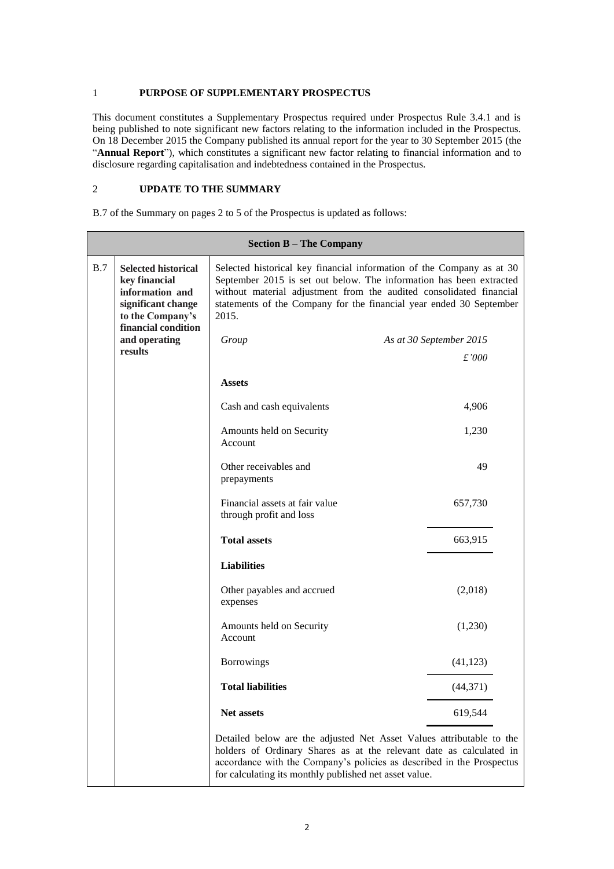#### 1 **PURPOSE OF SUPPLEMENTARY PROSPECTUS**

This document constitutes a Supplementary Prospectus required under Prospectus Rule 3.4.1 and is being published to note significant new factors relating to the information included in the Prospectus. On 18 December 2015 the Company published its annual report for the year to 30 September 2015 (the "**Annual Report**"), which constitutes a significant new factor relating to financial information and to disclosure regarding capitalisation and indebtedness contained in the Prospectus.

### 2 **UPDATE TO THE SUMMARY**

B.7 of the Summary on pages 2 to 5 of the Prospectus is updated as follows:

| <b>Section B – The Company</b> |                                                                                                                                          |                                                           |                                                                                                                                                                                                                                                                                            |  |
|--------------------------------|------------------------------------------------------------------------------------------------------------------------------------------|-----------------------------------------------------------|--------------------------------------------------------------------------------------------------------------------------------------------------------------------------------------------------------------------------------------------------------------------------------------------|--|
| B.7                            | <b>Selected historical</b><br>key financial<br>information and<br>significant change<br>2015.<br>to the Company's<br>financial condition |                                                           | Selected historical key financial information of the Company as at 30<br>September 2015 is set out below. The information has been extracted<br>without material adjustment from the audited consolidated financial<br>statements of the Company for the financial year ended 30 September |  |
|                                | and operating<br>results                                                                                                                 | Group<br>As at 30 September 2015                          |                                                                                                                                                                                                                                                                                            |  |
|                                |                                                                                                                                          |                                                           | £'000                                                                                                                                                                                                                                                                                      |  |
|                                |                                                                                                                                          | <b>Assets</b>                                             |                                                                                                                                                                                                                                                                                            |  |
|                                |                                                                                                                                          | Cash and cash equivalents                                 | 4,906                                                                                                                                                                                                                                                                                      |  |
|                                |                                                                                                                                          | Amounts held on Security<br>Account                       | 1,230                                                                                                                                                                                                                                                                                      |  |
|                                |                                                                                                                                          | Other receivables and<br>prepayments                      | 49                                                                                                                                                                                                                                                                                         |  |
|                                |                                                                                                                                          | Financial assets at fair value<br>through profit and loss | 657,730                                                                                                                                                                                                                                                                                    |  |
|                                |                                                                                                                                          | <b>Total assets</b>                                       | 663,915                                                                                                                                                                                                                                                                                    |  |
|                                |                                                                                                                                          | <b>Liabilities</b>                                        |                                                                                                                                                                                                                                                                                            |  |
|                                |                                                                                                                                          | Other payables and accrued<br>expenses                    | (2,018)                                                                                                                                                                                                                                                                                    |  |
|                                |                                                                                                                                          | Amounts held on Security<br>Account                       | (1,230)                                                                                                                                                                                                                                                                                    |  |
|                                |                                                                                                                                          | <b>Borrowings</b>                                         | (41, 123)                                                                                                                                                                                                                                                                                  |  |
|                                |                                                                                                                                          | <b>Total liabilities</b>                                  | (44, 371)                                                                                                                                                                                                                                                                                  |  |
|                                |                                                                                                                                          | Net assets                                                | 619,544                                                                                                                                                                                                                                                                                    |  |
|                                |                                                                                                                                          | for calculating its monthly published net asset value.    | Detailed below are the adjusted Net Asset Values attributable to the<br>holders of Ordinary Shares as at the relevant date as calculated in<br>accordance with the Company's policies as described in the Prospectus                                                                       |  |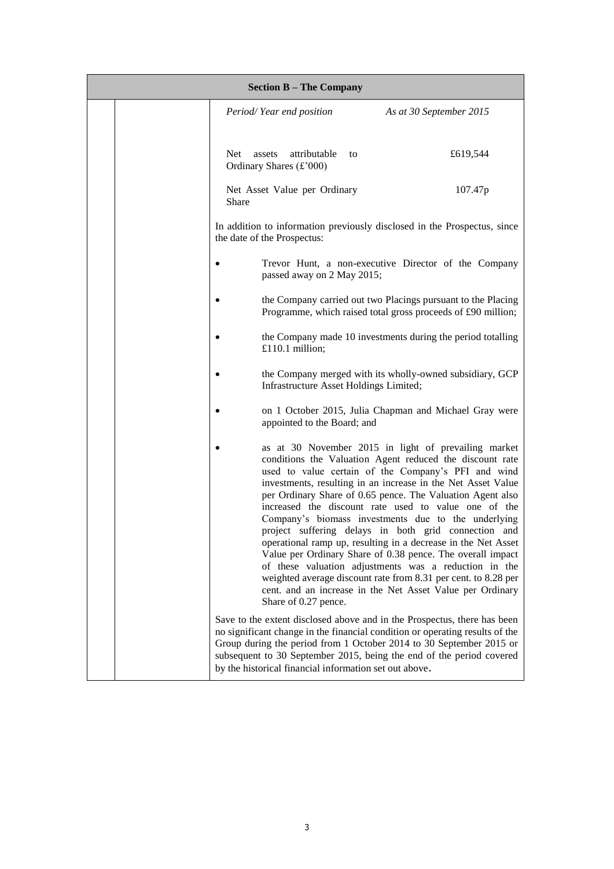| <b>Section B - The Company</b> |                                                                                                                              |                                                                                                                                                                                                                                                                                                                                                                                                                                                                                                                                                                                                                                                                                                                                                                                                     |  |  |
|--------------------------------|------------------------------------------------------------------------------------------------------------------------------|-----------------------------------------------------------------------------------------------------------------------------------------------------------------------------------------------------------------------------------------------------------------------------------------------------------------------------------------------------------------------------------------------------------------------------------------------------------------------------------------------------------------------------------------------------------------------------------------------------------------------------------------------------------------------------------------------------------------------------------------------------------------------------------------------------|--|--|
|                                | Period/Year end position                                                                                                     | As at 30 September 2015                                                                                                                                                                                                                                                                                                                                                                                                                                                                                                                                                                                                                                                                                                                                                                             |  |  |
|                                | Net.<br>attributable<br>assets<br>to<br>Ordinary Shares (£'000)                                                              | £619,544                                                                                                                                                                                                                                                                                                                                                                                                                                                                                                                                                                                                                                                                                                                                                                                            |  |  |
|                                | Net Asset Value per Ordinary<br>Share                                                                                        | 107.47p                                                                                                                                                                                                                                                                                                                                                                                                                                                                                                                                                                                                                                                                                                                                                                                             |  |  |
|                                | In addition to information previously disclosed in the Prospectus, since<br>the date of the Prospectus:                      |                                                                                                                                                                                                                                                                                                                                                                                                                                                                                                                                                                                                                                                                                                                                                                                                     |  |  |
|                                | passed away on 2 May 2015;                                                                                                   | Trevor Hunt, a non-executive Director of the Company                                                                                                                                                                                                                                                                                                                                                                                                                                                                                                                                                                                                                                                                                                                                                |  |  |
|                                | the Company carried out two Placings pursuant to the Placing<br>Programme, which raised total gross proceeds of £90 million; |                                                                                                                                                                                                                                                                                                                                                                                                                                                                                                                                                                                                                                                                                                                                                                                                     |  |  |
|                                | £110.1 million;                                                                                                              | the Company made 10 investments during the period totalling                                                                                                                                                                                                                                                                                                                                                                                                                                                                                                                                                                                                                                                                                                                                         |  |  |
|                                | Infrastructure Asset Holdings Limited;                                                                                       | the Company merged with its wholly-owned subsidiary, GCP                                                                                                                                                                                                                                                                                                                                                                                                                                                                                                                                                                                                                                                                                                                                            |  |  |
|                                | appointed to the Board; and                                                                                                  | on 1 October 2015, Julia Chapman and Michael Gray were                                                                                                                                                                                                                                                                                                                                                                                                                                                                                                                                                                                                                                                                                                                                              |  |  |
|                                | Share of 0.27 pence.                                                                                                         | as at 30 November 2015 in light of prevailing market<br>conditions the Valuation Agent reduced the discount rate<br>used to value certain of the Company's PFI and wind<br>investments, resulting in an increase in the Net Asset Value<br>per Ordinary Share of 0.65 pence. The Valuation Agent also<br>increased the discount rate used to value one of the<br>Company's biomass investments due to the underlying<br>project suffering delays in both grid connection and<br>operational ramp up, resulting in a decrease in the Net Asset<br>Value per Ordinary Share of 0.38 pence. The overall impact<br>of these valuation adjustments was a reduction in the<br>weighted average discount rate from 8.31 per cent. to 8.28 per<br>cent. and an increase in the Net Asset Value per Ordinary |  |  |
|                                | by the historical financial information set out above.                                                                       | Save to the extent disclosed above and in the Prospectus, there has been<br>no significant change in the financial condition or operating results of the<br>Group during the period from 1 October 2014 to 30 September 2015 or<br>subsequent to 30 September 2015, being the end of the period covered                                                                                                                                                                                                                                                                                                                                                                                                                                                                                             |  |  |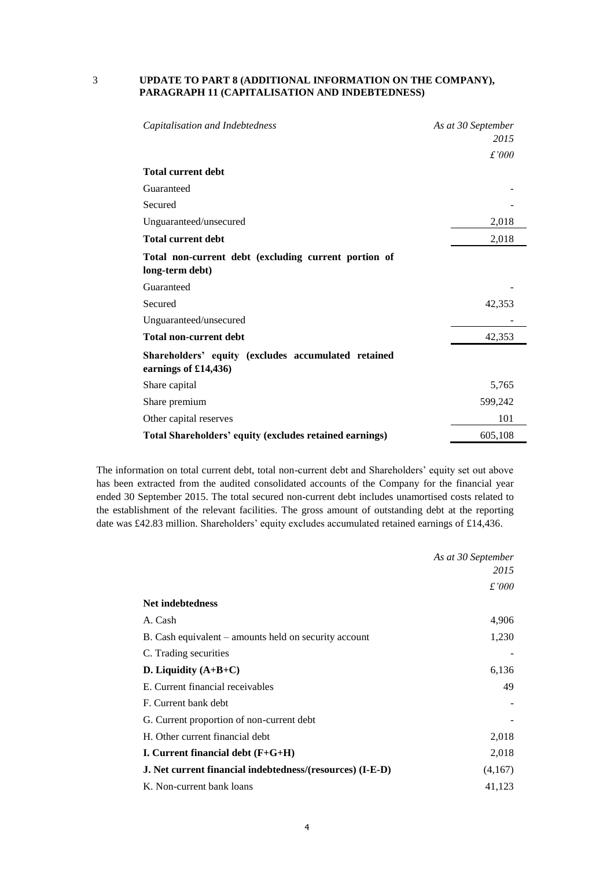#### 3 **UPDATE TO PART 8 (ADDITIONAL INFORMATION ON THE COMPANY), PARAGRAPH 11 (CAPITALISATION AND INDEBTEDNESS)**

| Capitalisation and Indebtedness                                             | As at 30 September<br>2015 |
|-----------------------------------------------------------------------------|----------------------------|
|                                                                             | £'000                      |
| <b>Total current debt</b>                                                   |                            |
| Guaranteed                                                                  |                            |
| Secured                                                                     |                            |
| Unguaranteed/unsecured                                                      | 2,018                      |
| <b>Total current debt</b>                                                   | 2,018                      |
| Total non-current debt (excluding current portion of<br>long-term debt)     |                            |
| Guaranteed                                                                  |                            |
| Secured                                                                     | 42,353                     |
| Unguaranteed/unsecured                                                      |                            |
| <b>Total non-current debt</b>                                               | 42,353                     |
| Shareholders' equity (excludes accumulated retained<br>earnings of £14,436) |                            |
| Share capital                                                               | 5,765                      |
| Share premium                                                               | 599,242                    |
| Other capital reserves                                                      | 101                        |
| Total Shareholders' equity (excludes retained earnings)                     | 605,108                    |

The information on total current debt, total non-current debt and Shareholders' equity set out above has been extracted from the audited consolidated accounts of the Company for the financial year ended 30 September 2015. The total secured non-current debt includes unamortised costs related to the establishment of the relevant facilities. The gross amount of outstanding debt at the reporting date was £42.83 million. Shareholders' equity excludes accumulated retained earnings of £14,436.

|                                                                  | As at 30 September |
|------------------------------------------------------------------|--------------------|
|                                                                  | 2015               |
|                                                                  | £'000              |
| Net indebtedness                                                 |                    |
| A. Cash                                                          | 4,906              |
| B. Cash equivalent – amounts held on security account            | 1,230              |
| C. Trading securities                                            |                    |
| D. Liquidity $(A+B+C)$                                           | 6,136              |
| E. Current financial receivables                                 | 49                 |
| F. Current bank debt                                             |                    |
| G. Current proportion of non-current debt                        |                    |
| H. Other current financial debt                                  | 2,018              |
| I. Current financial debt $(F+G+H)$                              | 2,018              |
| <b>J.</b> Net current financial indebtedness/(resources) (I-E-D) | (4,167)            |
| K. Non-current bank loans                                        | 41,123             |

4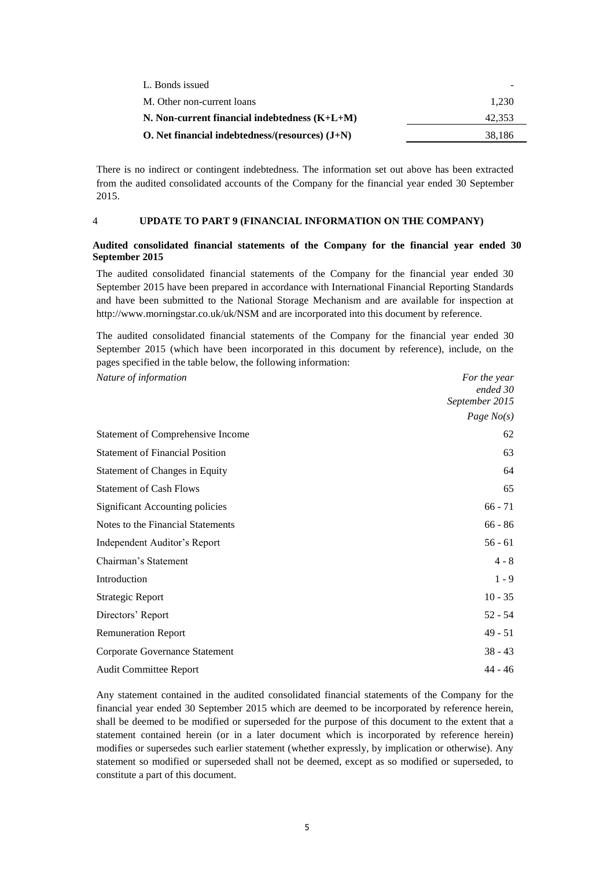| L. Bonds issued                                   |        |
|---------------------------------------------------|--------|
| M. Other non-current loans                        | 1.230  |
| N. Non-current financial indebtedness $(K+L+M)$   | 42.353 |
| O. Net financial indebtedness/(resources) $(J+N)$ | 38.186 |

There is no indirect or contingent indebtedness. The information set out above has been extracted from the audited consolidated accounts of the Company for the financial year ended 30 September 2015.

#### 4 **UPDATE TO PART 9 (FINANCIAL INFORMATION ON THE COMPANY)**

#### **Audited consolidated financial statements of the Company for the financial year ended 30 September 2015**

The audited consolidated financial statements of the Company for the financial year ended 30 September 2015 have been prepared in accordance with International Financial Reporting Standards and have been submitted to the National Storage Mechanism and are available for inspection at http://www.morningstar.co.uk/uk/NSM and are incorporated into this document by reference.

The audited consolidated financial statements of the Company for the financial year ended 30 September 2015 (which have been incorporated in this document by reference), include, on the pages specified in the table below, the following information:

| Nature of information                    | For the year   |
|------------------------------------------|----------------|
|                                          | ended 30       |
|                                          | September 2015 |
|                                          | Page $No(s)$   |
| <b>Statement of Comprehensive Income</b> | 62             |
| <b>Statement of Financial Position</b>   | 63             |
| <b>Statement of Changes in Equity</b>    | 64             |
| <b>Statement of Cash Flows</b>           | 65             |
| <b>Significant Accounting policies</b>   | $66 - 71$      |
| Notes to the Financial Statements        | $66 - 86$      |
| Independent Auditor's Report             | $56 - 61$      |
| Chairman's Statement                     | $4 - 8$        |
| Introduction                             | $1 - 9$        |
| Strategic Report                         | $10 - 35$      |
| Directors' Report                        | $52 - 54$      |
| <b>Remuneration Report</b>               | $49 - 51$      |
| Corporate Governance Statement           | $38 - 43$      |
| <b>Audit Committee Report</b>            | $44 - 46$      |

Any statement contained in the audited consolidated financial statements of the Company for the financial year ended 30 September 2015 which are deemed to be incorporated by reference herein, shall be deemed to be modified or superseded for the purpose of this document to the extent that a statement contained herein (or in a later document which is incorporated by reference herein) modifies or supersedes such earlier statement (whether expressly, by implication or otherwise). Any statement so modified or superseded shall not be deemed, except as so modified or superseded, to constitute a part of this document.